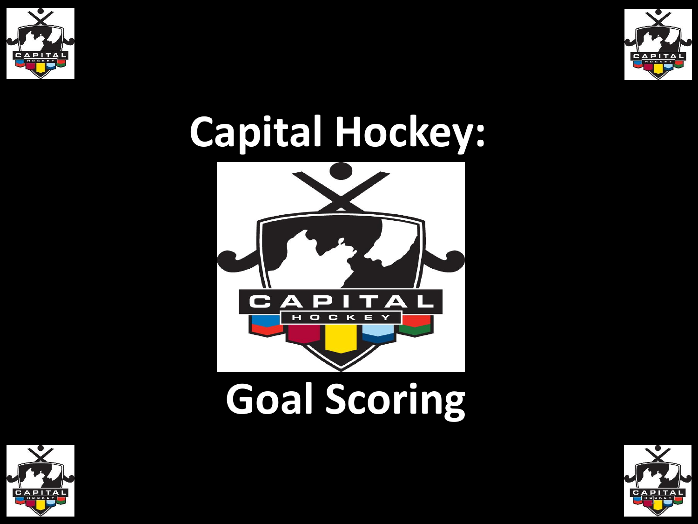



## **Capital Hockey:**



# **Goal Scoring**



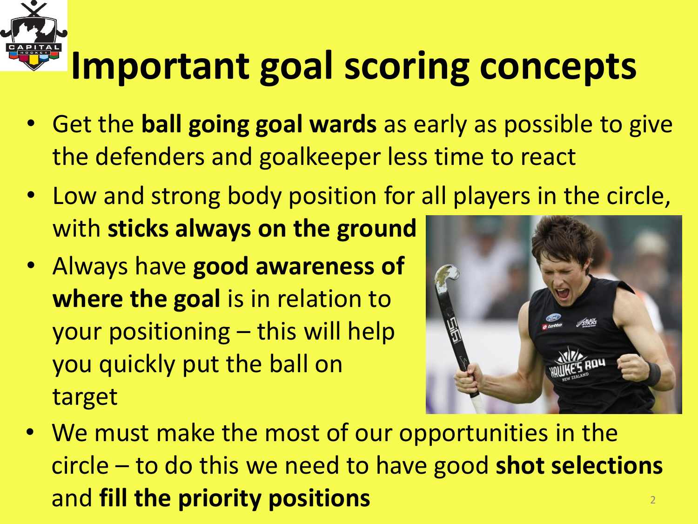# **Important goal scoring concepts**

- Get the **ball going goal wards** as early as possible to give the defenders and goalkeeper less time to react
- Low and strong body position for all players in the circle, with **sticks always on the ground**
- Always have **good awareness of where the goal** is in relation to your positioning – this will help you quickly put the ball on target



• We must make the most of our opportunities in the circle – to do this we need to have good **shot selections**  and **fill the priority positions** <sup>2</sup>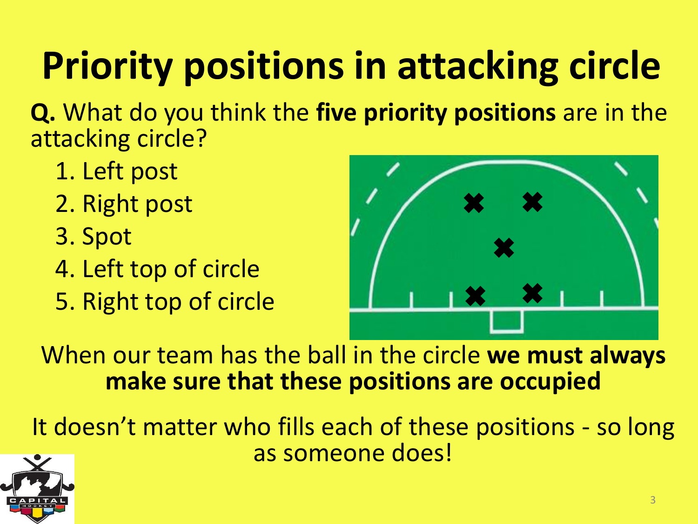### **Priority positions in attacking circle**

**Q.** What do you think the **five priority positions** are in the attacking circle?

- 1. Left post
- 2. Right post
- 3. Spot
- 4. Left top of circle
- 5. Right top of circle



When our team has the ball in the circle **we must always make sure that these positions are occupied**

It doesn't matter who fills each of these positions - so long as someone does!

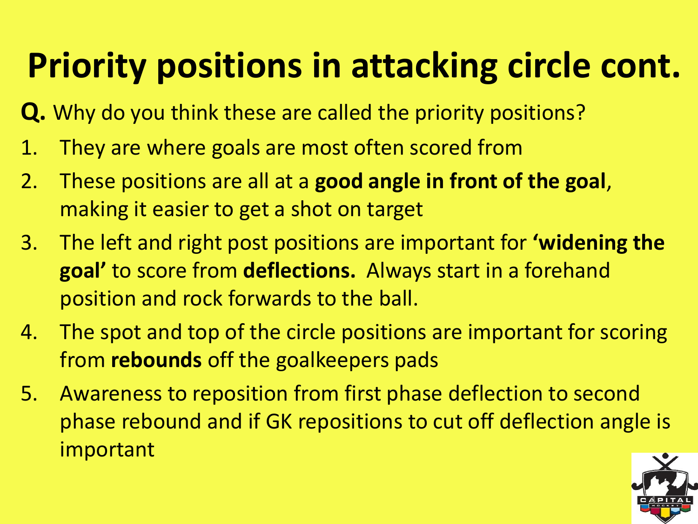#### **Priority positions in attacking circle cont.**

- **Q.** Why do you think these are called the priority positions?
- 1. They are where goals are most often scored from
- 2. These positions are all at a **good angle in front of the goal**, making it easier to get a shot on target
- 3. The left and right post positions are important for **'widening the goal'** to score from **deflections.** Always start in a forehand position and rock forwards to the ball.
- 4. The spot and top of the circle positions are important for scoring from **rebounds** off the goalkeepers pads
- 5. Awareness to reposition from first phase deflection to second phase rebound and if GK repositions to cut off deflection angle is important